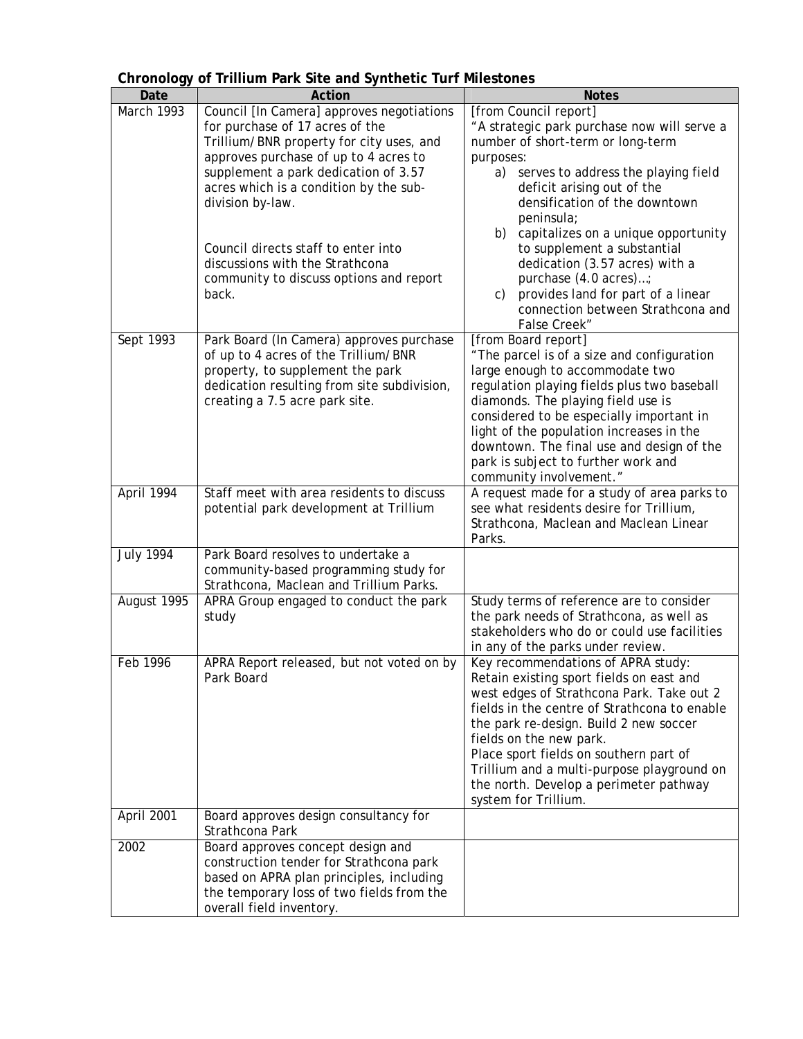| JJ<br>Date       | Action                                                                                                                                                                                                                                                                                                                                                                                                | <b>Notes</b>                                                                                                                                                                                                                                                                                                                                                                                                                                                                             |
|------------------|-------------------------------------------------------------------------------------------------------------------------------------------------------------------------------------------------------------------------------------------------------------------------------------------------------------------------------------------------------------------------------------------------------|------------------------------------------------------------------------------------------------------------------------------------------------------------------------------------------------------------------------------------------------------------------------------------------------------------------------------------------------------------------------------------------------------------------------------------------------------------------------------------------|
| March 1993       | Council [In Camera] approves negotiations<br>for purchase of 17 acres of the<br>Trillium/BNR property for city uses, and<br>approves purchase of up to 4 acres to<br>supplement a park dedication of 3.57<br>acres which is a condition by the sub-<br>division by-law.<br>Council directs staff to enter into<br>discussions with the Strathcona<br>community to discuss options and report<br>back. | [from Council report]<br>"A strategic park purchase now will serve a<br>number of short-term or long-term<br>purposes:<br>a)<br>serves to address the playing field<br>deficit arising out of the<br>densification of the downtown<br>peninsula;<br>capitalizes on a unique opportunity<br>b)<br>to supplement a substantial<br>dedication (3.57 acres) with a<br>purchase (4.0 acres);<br>provides land for part of a linear<br>C)<br>connection between Strathcona and<br>False Creek" |
| Sept 1993        | Park Board (In Camera) approves purchase<br>of up to 4 acres of the Trillium/BNR<br>property, to supplement the park<br>dedication resulting from site subdivision,<br>creating a 7.5 acre park site.                                                                                                                                                                                                 | [from Board report]<br>"The parcel is of a size and configuration<br>large enough to accommodate two<br>regulation playing fields plus two baseball<br>diamonds. The playing field use is<br>considered to be especially important in<br>light of the population increases in the<br>downtown. The final use and design of the<br>park is subject to further work and<br>community involvement."                                                                                         |
| April 1994       | Staff meet with area residents to discuss<br>potential park development at Trillium                                                                                                                                                                                                                                                                                                                   | A request made for a study of area parks to<br>see what residents desire for Trillium,<br>Strathcona, Maclean and Maclean Linear<br>Parks.                                                                                                                                                                                                                                                                                                                                               |
| <b>July 1994</b> | Park Board resolves to undertake a<br>community-based programming study for<br>Strathcona, Maclean and Trillium Parks.                                                                                                                                                                                                                                                                                |                                                                                                                                                                                                                                                                                                                                                                                                                                                                                          |
| August 1995      | APRA Group engaged to conduct the park<br>study                                                                                                                                                                                                                                                                                                                                                       | Study terms of reference are to consider<br>the park needs of Strathcona, as well as<br>stakeholders who do or could use facilities<br>in any of the parks under review.                                                                                                                                                                                                                                                                                                                 |
| Feb 1996         | APRA Report released, but not voted on by<br>Park Board                                                                                                                                                                                                                                                                                                                                               | Key recommendations of APRA study:<br>Retain existing sport fields on east and<br>west edges of Strathcona Park. Take out 2<br>fields in the centre of Strathcona to enable<br>the park re-design. Build 2 new soccer<br>fields on the new park.<br>Place sport fields on southern part of<br>Trillium and a multi-purpose playground on<br>the north. Develop a perimeter pathway<br>system for Trillium.                                                                               |
| April 2001       | Board approves design consultancy for<br>Strathcona Park                                                                                                                                                                                                                                                                                                                                              |                                                                                                                                                                                                                                                                                                                                                                                                                                                                                          |
| 2002             | Board approves concept design and<br>construction tender for Strathcona park<br>based on APRA plan principles, including<br>the temporary loss of two fields from the<br>overall field inventory.                                                                                                                                                                                                     |                                                                                                                                                                                                                                                                                                                                                                                                                                                                                          |

## **Chronology of Trillium Park Site and Synthetic Turf Milestones**